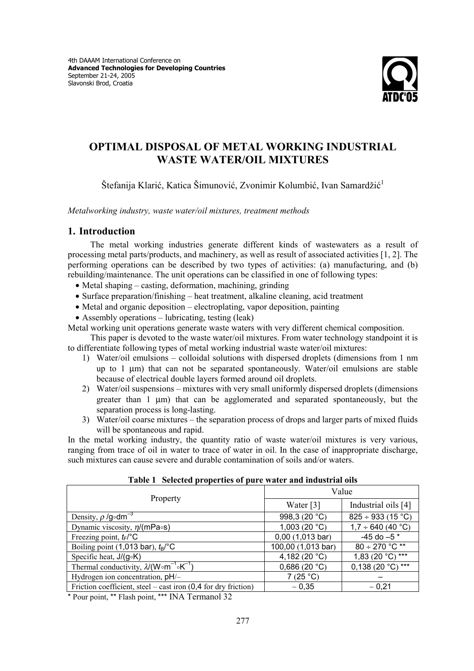

# **OPTIMAL DISPOSAL OF METAL WORKING INDUSTRIAL WASTE WATER/OIL MIXTURES**

Štefanija Klarić, Katica Šimunović, Zvonimir Kolumbić, Ivan Samardžić<sup>1</sup>

*Metalworking industry, waste water/oil mixtures, treatment methods* 

### **1. Introduction**

The metal working industries generate different kinds of wastewaters as a result of processing metal parts/products, and machinery, as well as result of associated activities [1, 2]. The performing operations can be described by two types of activities: (a) manufacturing, and (b) rebuilding/maintenance. The unit operations can be classified in one of following types:

- Metal shaping casting, deformation, machining, grinding
- Surface preparation/finishing heat treatment, alkaline cleaning, acid treatment
- Metal and organic deposition electroplating, vapor deposition, painting
- Assembly operations lubricating, testing (leak)

Metal working unit operations generate waste waters with very different chemical composition.

This paper is devoted to the waste water/oil mixtures. From water technology standpoint it is to differentiate following types of metal working industrial waste water/oil mixtures:

- 1) Water/oil emulsions colloidal solutions with dispersed droplets (dimensions from 1 nm up to  $1 \text{ µm}$ ) that can not be separated spontaneously. Water/oil emulsions are stable because of electrical double layers formed around oil droplets.
- 2) Water/oil suspensions mixtures with very small uniformly dispersed droplets (dimensions greater than 1 µm) that can be agglomerated and separated spontaneously, but the separation process is long-lasting.
- 3) Water/oil coarse mixtures the separation process of drops and larger parts of mixed fluids will be spontaneous and rapid.

In the metal working industry, the quantity ratio of waste water/oil mixtures is very various, ranging from trace of oil in water to trace of water in oil. In the case of inappropriate discharge, such mixtures can cause severe and durable contamination of soils and/or waters.

| Property                                                          | Value              |                        |
|-------------------------------------------------------------------|--------------------|------------------------|
|                                                                   | Water $[3]$        | Industrial oils [4]    |
| Density, $\rho$ /g $\circ$ dm <sup>-3</sup>                       | 998,3 (20 °C)      | $825 \div 933$ (15 °C) |
| Dynamic viscosity, $\eta/(mPa \circ s)$                           | 1,003(20 °C)       | $1,7 \div 640 (40 °C)$ |
| Freezing point, $t_F$ <sup>o</sup> C                              | $0,00$ (1,013 bar) | $-45$ do $-5$ *        |
| Boiling point (1,013 bar), $t_B$ <sup>o</sup> C                   | 100,00 (1,013 bar) | $80 \div 270$ °C **    |
| Specific heat, $J/(g \circ K)$                                    | 4,182 $(20 °C)$    | $1,83(20 °C)$ ***      |
| Thermal conductivity, $\lambda/(W \circ m^{-1} \circ K^{-1})$     | 0,686(20 °C)       | $0,138(20 °C)$ ***     |
| Hydrogen ion concentration, pH/-                                  | 7(25 °C)           |                        |
| Friction coefficient, steel – cast iron $(0,4)$ for dry friction) | $~1$ 0.35          | $~1$ - 0,21            |

#### **Table 1 Selected properties of pure water and industrial oils**

\* Pour point, \*\* Flash point, \*\*\* INA Termanol 32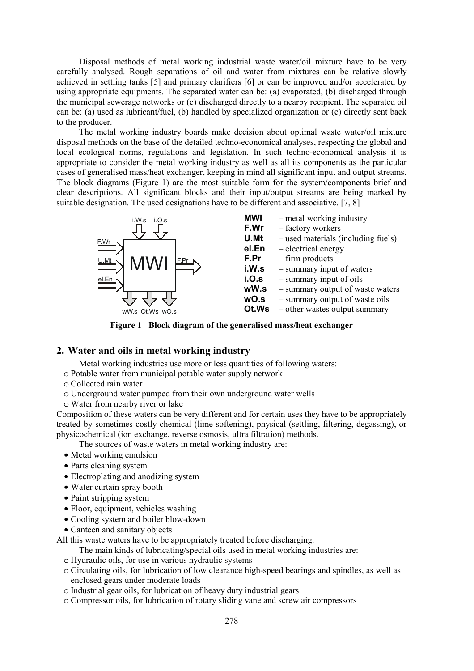Disposal methods of metal working industrial waste water/oil mixture have to be very carefully analysed. Rough separations of oil and water from mixtures can be relative slowly achieved in settling tanks [5] and primary clarifiers [6] or can be improved and/or accelerated by using appropriate equipments. The separated water can be: (a) evaporated, (b) discharged through the municipal sewerage networks or (c) discharged directly to a nearby recipient. The separated oil can be: (a) used as lubricant/fuel, (b) handled by specialized organization or (c) directly sent back to the producer.

The metal working industry boards make decision about optimal waste water/oil mixture disposal methods on the base of the detailed techno-economical analyses, respecting the global and local ecological norms, regulations and legislation. In such techno-economical analysis it is appropriate to consider the metal working industry as well as all its components as the particular cases of generalised mass/heat exchanger, keeping in mind all significant input and output streams. The block diagrams (Figure 1) are the most suitable form for the system/components brief and clear descriptions. All significant blocks and their input/output streams are being marked by suitable designation. The used designations have to be different and associative. [7, 8]



- **MWI** metal working industry
- **F.Wr** factory workers
- **U.Mt** used materials (including fuels)
- **el.En** electrical energy
- **F.Pr** firm products
- **i.W.s** summary input of waters
- **i.O.s** summary input of oils
- **wW.s** summary output of waste waters
- **wO.s** summary output of waste oils
- **Ot.Ws** other wastes output summary

**Figure 1 Block diagram of the generalised mass/heat exchanger** 

## **2. Water and oils in metal working industry**

Metal working industries use more or less quantities of following waters:

- o Potable water from municipal potable water supply network
- o Collected rain water
- o Underground water pumped from their own underground water wells
- o Water from nearby river or lake

Composition of these waters can be very different and for certain uses they have to be appropriately treated by sometimes costly chemical (lime softening), physical (settling, filtering, degassing), or physicochemical (ion exchange, reverse osmosis, ultra filtration) methods.

The sources of waste waters in metal working industry are:

- Metal working emulsion
- Parts cleaning system
- Electroplating and anodizing system
- Water curtain spray booth
- Paint stripping system
- Floor, equipment, vehicles washing
- Cooling system and boiler blow-down
- Canteen and sanitary objects

All this waste waters have to be appropriately treated before discharging.

- The main kinds of lubricating/special oils used in metal working industries are:
- o Hydraulic oils, for use in various hydraulic systems
- o Circulating oils, for lubrication of low clearance high-speed bearings and spindles, as well as enclosed gears under moderate loads
- o Industrial gear oils, for lubrication of heavy duty industrial gears
- o Compressor oils, for lubrication of rotary sliding vane and screw air compressors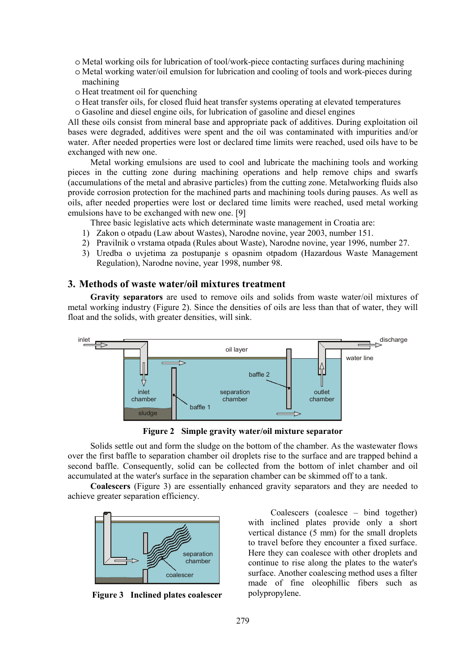- o Metal working oils for lubrication of tool/work-piece contacting surfaces during machining
- o Metal working water/oil emulsion for lubrication and cooling of tools and work-pieces during machining
- o Heat treatment oil for quenching
- o Heat transfer oils, for closed fluid heat transfer systems operating at elevated temperatures
- o Gasoline and diesel engine oils, for lubrication of gasoline and diesel engines

All these oils consist from mineral base and appropriate pack of additives. During exploitation oil bases were degraded, additives were spent and the oil was contaminated with impurities and/or water. After needed properties were lost or declared time limits were reached, used oils have to be exchanged with new one.

Metal working emulsions are used to cool and lubricate the machining tools and working pieces in the cutting zone during machining operations and help remove chips and swarfs (accumulations of the metal and abrasive particles) from the cutting zone. Metalworking fluids also provide corrosion protection for the machined parts and machining tools during pauses. As well as oils, after needed properties were lost or declared time limits were reached, used metal working emulsions have to be exchanged with new one. [9]

Three basic legislative acts which determinate waste management in Croatia are:

- 1) Zakon o otpadu (Law about Wastes), Narodne novine, year 2003, number 151.
- 2) Pravilnik o vrstama otpada (Rules about Waste), Narodne novine, year 1996, number 27.
- 3) Uredba o uvjetima za postupanje s opasnim otpadom (Hazardous Waste Management Regulation), Narodne novine, year 1998, number 98.

### **3. Methods of waste water/oil mixtures treatment**

**Gravity separators** are used to remove oils and solids from waste water/oil mixtures of metal working industry (Figure 2). Since the densities of oils are less than that of water, they will float and the solids, with greater densities, will sink.



**Figure 2 Simple gravity water/oil mixture separator** 

Solids settle out and form the sludge on the bottom of the chamber. As the wastewater flows over the first baffle to separation chamber oil droplets rise to the surface and are trapped behind a second baffle. Consequently, solid can be collected from the bottom of inlet chamber and oil accumulated at the water's surface in the separation chamber can be skimmed off to a tank.

**Coalescers** (Figure 3) are essentially enhanced gravity separators and they are needed to achieve greater separation efficiency.



**Figure 3 Inclined plates coalescer** 

Coalescers (coalesce – bind together) with inclined plates provide only a short vertical distance (5 mm) for the small droplets to travel before they encounter a fixed surface. Here they can coalesce with other droplets and continue to rise along the plates to the water's surface. Another coalescing method uses a filter made of fine oleophillic fibers such as polypropylene.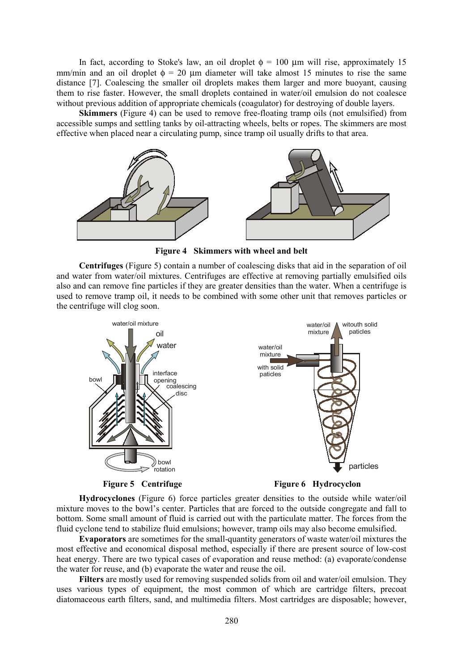In fact, according to Stoke's law, an oil droplet  $\phi = 100 \mu m$  will rise, approximately 15 mm/min and an oil droplet  $\phi = 20$  um diameter will take almost 15 minutes to rise the same distance [7]. Coalescing the smaller oil droplets makes them larger and more buoyant, causing them to rise faster. However, the small droplets contained in water/oil emulsion do not coalesce without previous addition of appropriate chemicals (coagulator) for destroying of double layers.

**Skimmers** (Figure 4) can be used to remove free-floating tramp oils (not emulsified) from accessible sumps and settling tanks by oil-attracting wheels, belts or ropes. The skimmers are most effective when placed near a circulating pump, since tramp oil usually drifts to that area.



**Figure 4 Skimmers with wheel and belt** 

**Centrifuges** (Figure 5) contain a number of coalescing disks that aid in the separation of oil and water from water/oil mixtures. Centrifuges are effective at removing partially emulsified oils also and can remove fine particles if they are greater densities than the water. When a centrifuge is used to remove tramp oil, it needs to be combined with some other unit that removes particles or the centrifuge will clog soon.





**Hydrocyclones** (Figure 6) force particles greater densities to the outside while water/oil mixture moves to the bowl's center. Particles that are forced to the outside congregate and fall to bottom. Some small amount of fluid is carried out with the particulate matter. The forces from the fluid cyclone tend to stabilize fluid emulsions; however, tramp oils may also become emulsified.

**Evaporators** are sometimes for the small-quantity generators of waste water/oil mixtures the most effective and economical disposal method, especially if there are present source of low-cost heat energy. There are two typical cases of evaporation and reuse method: (a) evaporate/condense the water for reuse, and (b) evaporate the water and reuse the oil.

**Filters** are mostly used for removing suspended solids from oil and water/oil emulsion. They uses various types of equipment, the most common of which are cartridge filters, precoat diatomaceous earth filters, sand, and multimedia filters. Most cartridges are disposable; however,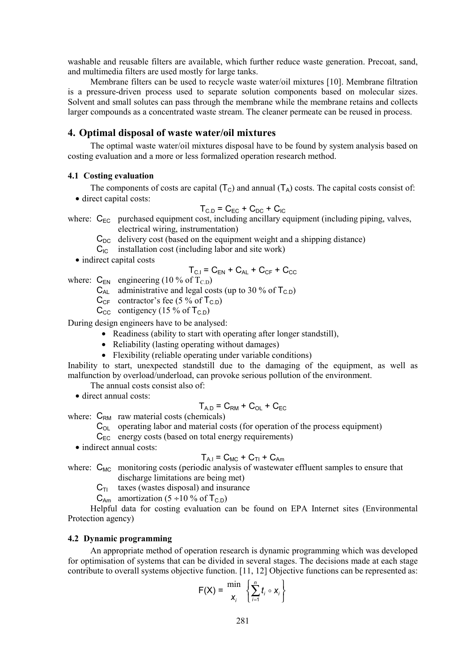washable and reusable filters are available, which further reduce waste generation. Precoat, sand, and multimedia filters are used mostly for large tanks.

Membrane filters can be used to recycle waste water/oil mixtures [10]. Membrane filtration is a pressure-driven process used to separate solution components based on molecular sizes. Solvent and small solutes can pass through the membrane while the membrane retains and collects larger compounds as a concentrated waste stream. The cleaner permeate can be reused in process.

### **4. Optimal disposal of waste water/oil mixtures**

The optimal waste water/oil mixtures disposal have to be found by system analysis based on costing evaluation and a more or less formalized operation research method.

#### **4.1 Costing evaluation**

The components of costs are capital  $(T_c)$  and annual  $(T_A)$  costs. The capital costs consist of: • direct capital costs:

$$
T_{C.D} = C_{EC} + C_{DC} + C_{IC}
$$

where:  $C_{FC}$  purchased equipment cost, including ancillary equipment (including piping, valves, electrical wiring, instrumentation)

- $C_{DC}$  delivery cost (based on the equipment weight and a shipping distance)
- $C_{IC}$  installation cost (including labor and site work)
- indirect capital costs

$$
T_{\text{C.I}} = C_{\text{EN}} + C_{\text{AL}} + C_{\text{CF}} + C_{\text{CC}}
$$

where:  $C_{EN}$  engineering (10 % of T<sub>CD</sub>)

- $C_{AL}$  administrative and legal costs (up to 30 % of T<sub>C.D</sub>)
- $C_{CF}$  contractor's fee (5 % of T<sub>C.D</sub>)
- $C_{\text{CC}}$  contigency (15 % of  $T_{\text{CD}}$ )

During design engineers have to be analysed:

- Readiness (ability to start with operating after longer standstill),
- Reliability (lasting operating without damages)
- Flexibility (reliable operating under variable conditions)

Inability to start, unexpected standstill due to the damaging of the equipment, as well as malfunction by overload/underload, can provoke serious pollution of the environment.

The annual costs consist also of:

• direct annual costs:

$$
T_{A.D} = C_{RM} + C_{OL} + C_{EC}
$$

where:  $C_{RM}$  raw material costs (chemicals)

 $C<sub>O</sub>$  operating labor and material costs (for operation of the process equipment)

 $C_{FC}$  energy costs (based on total energy requirements)

• indirect annual costs:

$$
T_{A.I} = C_{MC} + C_{TI} + C_{Am}
$$

where:  $C_{MC}$  monitoring costs (periodic analysis of wastewater effluent samples to ensure that discharge limitations are being met)

 $C_{\text{TI}}$  taxes (wastes disposal) and insurance

 $C_{Am}$  amortization (5 ÷10 % of T<sub>C.D</sub>)

Helpful data for costing evaluation can be found on EPA Internet sites (Environmental Protection agency)

#### **4.2 Dynamic programming**

An appropriate method of operation research is dynamic programming which was developed for optimisation of systems that can be divided in several stages. The decisions made at each stage contribute to overall systems objective function. [11, 12] Objective functions can be represented as:

$$
F(X) = \frac{\min X_i}{X_i} \left\{ \sum_{i=1}^n t_i \circ X_i \right\}
$$